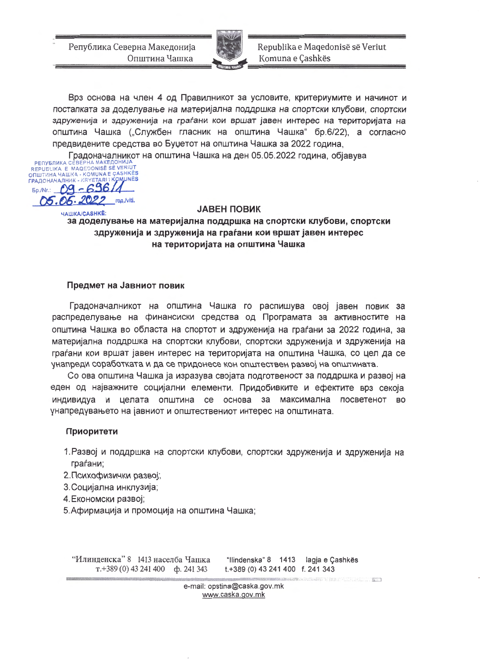Република Северна Македонија Општина Чашка



Republika e Maqedonisë së Veriut Komuna e Çashkës

Врз основа на член 4 од Правилникот за условите, критериумите и начинот и постапката за доделување на материјална поддршка на спортски клубови, спортски здруженија и здруженија на граѓани кои вршат јавен интерес на територијата на општина Чашка ("Службен гласник на општина Чашка" бр.6/22), а согласно предвидените средства во Буџетот на општина Чашка за 2022 година,

Градоначалникот на општина Чашка на ден 05.05.2022 година, објавува

PENYBJIKKA CEBEPHA MAKE AOHINJA<br>REPUBLIKA E MAQEDONISË SË VERIUT ОПШТИНА ЧАШКА - KOMUNA E ÇASHKËS ГРАДОНАЧАЛНИК - KRYETARI I KOMUNËS 09-69611 Bp./Nr.: 05.06.2022 год./viti.

#### **JABEH ПОВИК**

ЧАШКА/**CASHKË:** за доделување на материјална поддршка на спортски клубови, спортски здруженија и здруженија на граѓани кои вршат јавен интерес на територијата на општина Чашка

# Предмет на Јавниот повик

Градоначалникот на општина Чашка го распишува овој јавен повик за распределување на финансиски средства од Програмата за активностите на општина Чашка во областа на спортот и здруженија на граѓани за 2022 година, за материјална поддршка на спортски клубови, спортски здруженија и здруженија на граѓани кои вршат јавен интерес на територијата на општина Чашка, со цел да се унапреди соработката и да се придонесе кон општествен развој на општината.

Со ова општина Чашка ја изразува својата подготвеност за поддршка и развој на еден од најважните социјални елементи. Придобивките и ефектите врз секоја индивидуа и целата општина се основа за максимална посветенот во унапредувањето на јавниот и општествениот интерес на општината.

## Приоритети

- 1. Развој и поддршка на спортски клубови, спортски здруженија и здруженија на граѓани;
- 2. Психофизички развој;
- 3. Социјална инклузија;
- 4.Економски развој;
- 5. Афирмација и промоција на општина Чашка;

"Илинденска" 8—1413 населба Чашка "Ilindenska" 8 1413 lagja e Çashkës  $T.+389(0)$  43 241 400 cp. 241 343 t.+389 (0) 43 241 400 f. 241 343

> e-mail: opstina@caska.gov.mk www.caska.gov.mk